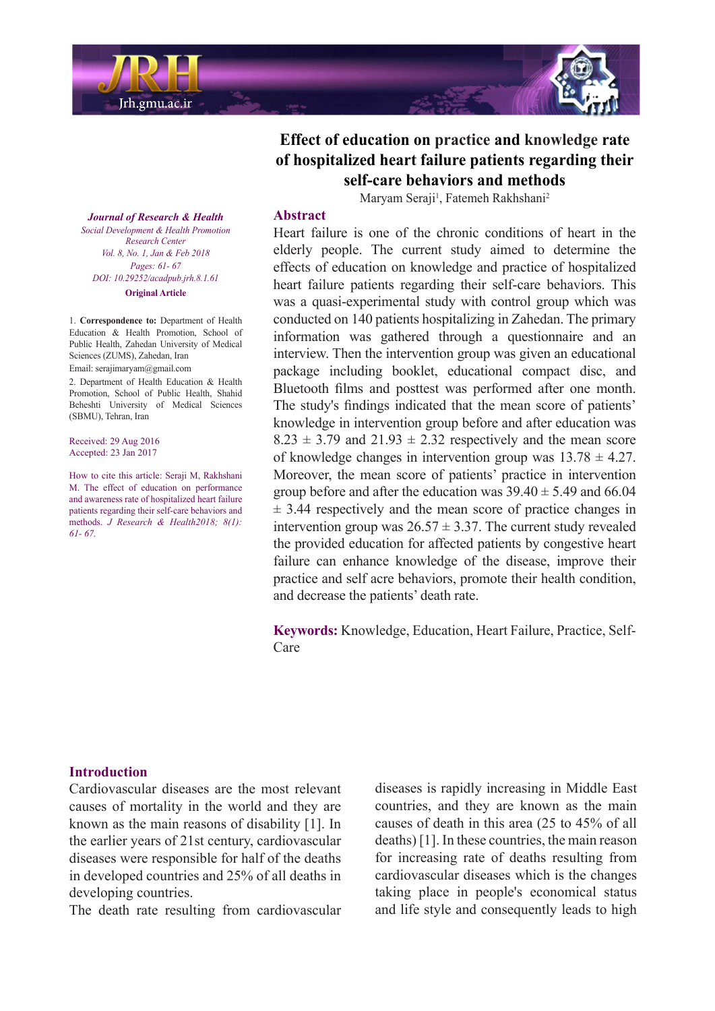

**Effect of education on practice and knowledge rate** of hospitalized heart failure patients regarding their self-care behaviors and methods

Maryam Seraji<sup>1</sup>, Fatemeh Rakhshani<sup>2</sup>

#### **Abstract**

Heart failure is one of the chronic conditions of heart in the elderly people. The current study aimed to determine the effects of education on knowledge and practice of hospitalized heart failure patients regarding their self-care behaviors. This was a quasi-experimental study with control group which was conducted on 140 patients hospitalizing in Zahedan. The primary information was gathered through a questionnaire and an interview. Then the intervention group was given an educational package including booklet, educational compact disc, and Bluetooth films and posttest was performed after one month. The study's findings indicated that the mean score of patients' knowledge in intervention group before and after education was  $8.23 \pm 3.79$  and  $21.93 \pm 2.32$  respectively and the mean score of knowledge changes in intervention group was  $13.78 \pm 4.27$ . Moreover, the mean score of patients' practice in intervention group before and after the education was  $39.40 \pm 5.49$  and 66.04  $\pm$  3.44 respectively and the mean score of practice changes in intervention group was  $26.57 \pm 3.37$ . The current study revealed the provided education for affected patients by congestive heart failure can enhance knowledge of the disease, improve their practice and self acre behaviors, promote their health condition, and decrease the patients' death rate.

Keywords: Knowledge, Education, Heart Failure, Practice, Self-<br>Care

**Journal of Research & Health** *Social Development & Health Promotion Center Research Vol. 8, No. 1, Jan & Feb 2018 Pages*: 61- 67 *DOI*: 10.29252/acadpub.jrh.8.1.61 **Original** Article

1. Correspondence to: Department of Health Education & Health Promotion, School of Public Health, Zahedan University of Medical Sciences (ZUMS), Zahedan, Iran Email: serajimaryam@gmail.com

2. Department of Health Education & Health Promotion, School of Public Health, Shahid Beheshti University of Medical Sciences (SBMU), Tehran, Iran

Received: 29 Aug 2016 Accepted: 23 Jan 2017

How to cite this article: Seraji M. Rakhshani M. The effect of education on performance and awareness rate of hospitalized heart failure patients regarding their self-care behaviors and methods. *J Research & Health2018*: 8(1): *67. 61-*

#### **Introduction**

Cardiovascular diseases are the most relevant causes of mortality in the world and they are known as the main reasons of disability  $[1]$ . In the earlier years of 21st century, cardiovascular diseases were responsible for half of the deaths in developed countries and 25% of all deaths in developing countries.

The death rate resulting from cardiovascular

diseases is rapidly increasing in Middle East countries, and they are known as the main causes of death in this area  $(25 \text{ to } 45\% \text{ of all})$  $deaths$ ) [1]. In these countries, the main reason for increasing rate of deaths resulting from cardiovascular diseases which is the changes taking place in people's economical status and life style and consequently leads to high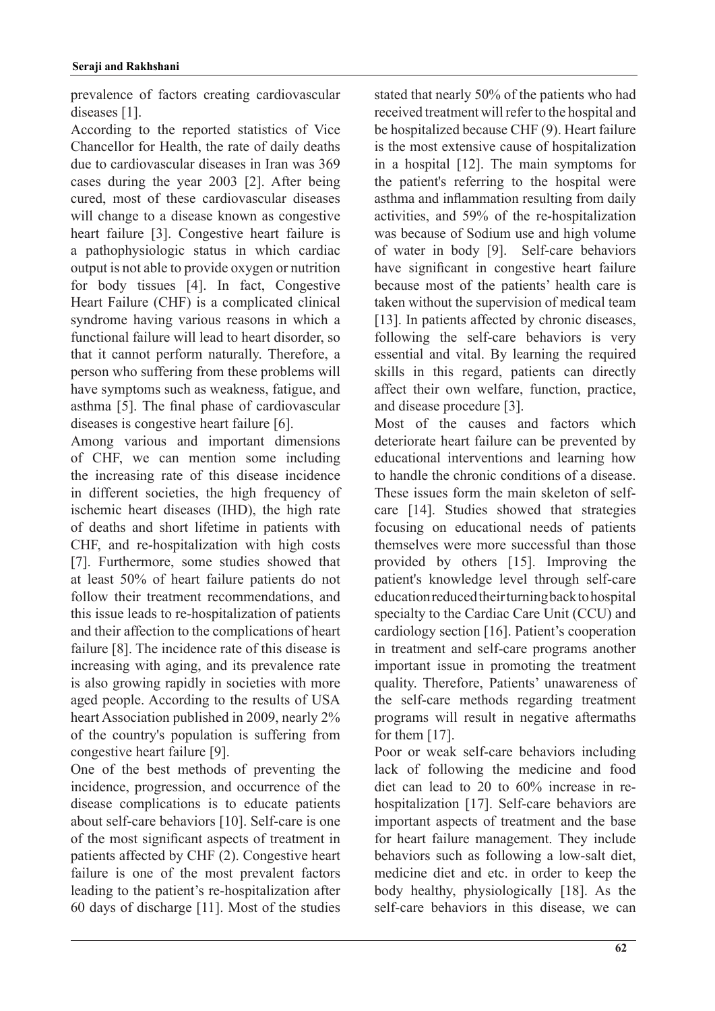prevalence of factors creating cardiovascular diseases [1].

According to the reported statistics of Vice Chancellor for Health, the rate of daily deaths due to cardiovascular diseases in Iran was 369 cases during the year  $2003$  [2]. After being cured, most of these cardiovascular diseases will change to a disease known as congestive heart failure [3]. Congestive heart failure is a pathophysiologic status in which cardiac output is not able to provide oxygen or nutrition for body tissues  $[4]$ . In fact, Congestive Heart Failure (CHF) is a complicated clinical syndrome having various reasons in which a functional failure will lead to heart disorder, so that it cannot perform naturally. Therefore, a person who suffering from these problems will have symptoms such as weakness, fatigue, and asthma [5]. The final phase of cardiovascular diseases is congestive heart failure  $[6]$ .

Among various and important dimensions of CHF, we can mention some including the increasing rate of this disease incidence in different societies, the high frequency of ischemic heart diseases (IHD), the high rate of deaths and short lifetime in patients with CHF, and re-hospitalization with high costs [7]. Furthermore, some studies showed that at least 50% of heart failure patients do not follow their treatment recommendations, and this issue leads to re-hospitalization of patients and their affection to the complications of heart failure [8]. The incidence rate of this disease is increasing with aging, and its prevalence rate is also growing rapidly in societies with more aged people. According to the results of USA heart Association published in 2009, nearly  $2\%$ of the country's population is suffering from congestive heart failure [9].

One of the best methods of preventing the incidence, progression, and occurrence of the disease complications is to educate patients about self-care behaviors [10]. Self-care is one of the most significant aspects of treatment in patients affected by CHF  $(2)$ . Congestive heart failure is one of the most prevalent factors leading to the patient's re-hospitalization after 60 days of discharge  $[11]$ . Most of the studies

stated that nearly 50% of the patients who had received treatment will refer to the hospital and be hospitalized because CHF (9). Heart failure is the most extensive cause of hospitalization in a hospital  $[12]$ . The main symptoms for the patient's referring to the hospital were asthma and inflammation resulting from daily activities, and 59% of the re-hospitalization was because of Sodium use and high volume of water in body [9]. Self-care behaviors have significant in congestive heart failure because most of the patients' health care is taken without the supervision of medical team  $[13]$ . In patients affected by chronic diseases, following the self-care behaviors is very essential and vital. By learning the required skills in this regard, patients can directly affect their own welfare, function, practice, and disease procedure [3].

Most of the causes and factors which deteriorate heart failure can be prevented by educational interventions and learning how to handle the chronic conditions of a disease care  $[14]$ . Studies showed that strategies These issues form the main skeleton of selffocusing on educational needs of patients themselves were more successful than those provided by others [15]. Improving the patient's knowledge level through self-care education reduced their turning back to hospital specialty to the Cardiac Care Unit (CCU) and cardiology section  $[16]$ . Patient's cooperation in treatment and self-care programs another important issue in promoting the treatment quality. Therefore, Patients' unawareness of the self-care methods regarding treatment programs will result in negative aftermaths for them  $[17]$ .

Poor or weak self-care behaviors including lack of following the medicine and food hospitalization [17]. Self-care behaviors are diet can lead to 20 to  $60\%$  increase in reimportant aspects of treatment and the base for heart failure management. They include behaviors such as following a low-salt diet, medicine diet and etc. in order to keep the body healthy, physiologically  $[18]$ . As the self-care behaviors in this disease, we can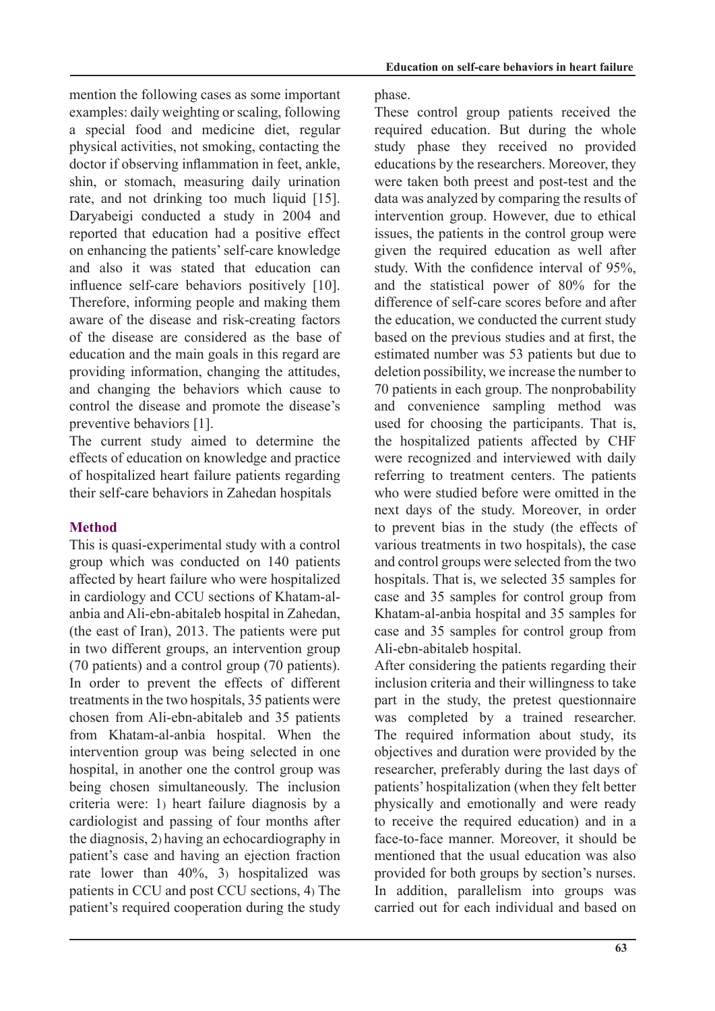mention the following cases as some important examples: daily weighting or scaling, following a special food and medicine diet, regular physical activities, not smoking, contacting the doctor if observing inflammation in feet, ankle, shin, or stomach, measuring daily urination rate, and not drinking too much liquid  $[15]$ . Daryabeigi conducted a study in 2004 and reported that education had a positive effect on enhancing the patients' self-care knowledge and also it was stated that education can influence self-care behaviors positively [10]. Therefore, informing people and making them aware of the disease and risk-creating factors of the disease are considered as the base of education and the main goals in this regard are providing information, changing the attitudes, and changing the behaviors which cause to control the disease and promote the disease's preventive behaviors [1].

The current study aimed to determine the effects of education on knowledge and practice of hospitalized heart failure patients regarding their self-care behaviors in Zahedan hospitals

# **Method**

This is quasi-experimental study with a control group which was conducted on 140 patients affected by heart failure who were hospitalized anbia and Ali-ebn-abitaleb hospital in Zahedan, in cardiology and CCU sections of Khatam-al-(the east of Iran),  $2013$ . The patients were put in two different groups, an intervention group  $(70 \text{ patients})$  and a control group  $(70 \text{ patients})$ . In order to prevent the effects of different treatments in the two hospitals, 35 patients were chosen from Ali-ebn-abitaleb and 35 patients from Khatam-al-anbia hospital. When the intervention group was being selected in one hospital, in another one the control group was being chosen simultaneously. The inclusion criteria were: 1) heart failure diagnosis by a cardiologist and passing of four months after the diagnosis,  $2$ ) having an echocardiography in patient's case and having an ejection fraction rate lower than  $40\%$ , 3) hospitalized was patients in CCU and post CCU sections, 4) The patient's required cooperation during the study phase.

These control group patients received the required education. But during the whole study phase they received no provided educations by the researchers. Moreover, they were taken both preest and post-test and the data was analyzed by comparing the results of intervention group. However, due to ethical issues, the patients in the control group were given the required education as well after study. With the confidence interval of 95%, and the statistical power of  $80\%$  for the difference of self-care scores before and after the education, we conducted the current study based on the previous studies and at first, the estimated number was 53 patients but due to deletion possibility, we increase the number to 70 patients in each group. The nonprobability and convenience sampling method was used for choosing the participants. That is, the hospitalized patients affected by CHF were recognized and interviewed with daily referring to treatment centers. The patients who were studied before were omitted in the next days of the study. Moreover, in order to prevent bias in the study (the effects of various treatments in two hospitals), the case and control groups were selected from the two hospitals. That is, we selected 35 samples for case and 35 samples for control group from Khatam-al-anbia hospital and 35 samples for case and 35 samples for control group from Ali-ebn-abitaleb hospital.

After considering the patients regarding their inclusion criteria and their willingness to take part in the study, the pretest questionnaire was completed by a trained researcher. The required information about study, its objectives and duration were provided by the researcher, preferably during the last days of patients' hospitalization (when they felt better physically and emotionally and were ready to receive the required education) and in a face-to-face manner. Moreover, it should be mentioned that the usual education was also provided for both groups by section's nurses. In addition, parallelism into groups was carried out for each individual and based on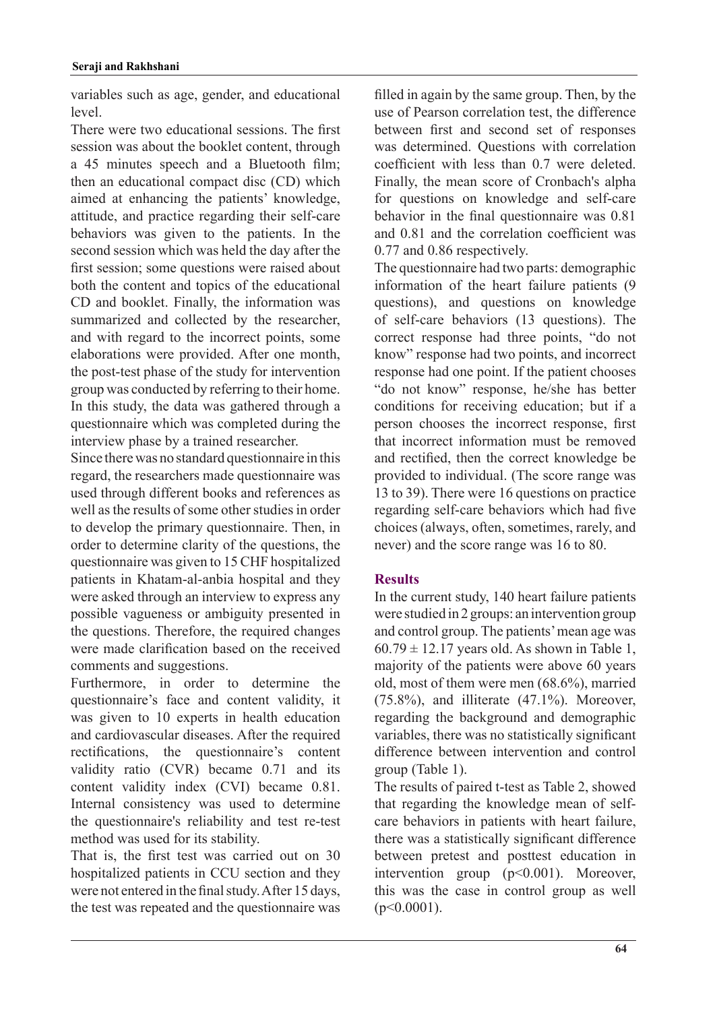variables such as age, gender, and educational .level

There were two educational sessions. The first session was about the booklet content, through a 45 minutes speech and a Bluetooth film; then an educational compact disc (CD) which aimed at enhancing the patients' knowledge, attitude, and practice regarding their self-care behaviors was given to the patients. In the second session which was held the day after the first session; some questions were raised about both the content and topics of the educational CD and booklet. Finally, the information was summarized and collected by the researcher, and with regard to the incorrect points, some elaborations were provided. After one month, the post-test phase of the study for intervention group was conducted by referring to their home. In this study, the data was gathered through a questionnaire which was completed during the interview phase by a trained researcher.

Since there was no standard questionnaire in this regard, the researchers made questionnaire was used through different books and references as well as the results of some other studies in order to develop the primary questionnaire. Then, in order to determine clarity of the questions, the questionnaire was given to 15 CHF hospitalized patients in Khatam-al-anbia hospital and they were asked through an interview to express any possible vagueness or ambiguity presented in the questions. Therefore, the required changes were made clarification based on the received comments and suggestions.

Furthermore, in order to determine the questionnaire's face and content validity, it was given to 10 experts in health education and cardiovascular diseases. After the required rectifications, the questionnaire's content validity ratio (CVR) became  $0.71$  and its content validity index (CVI) became 0.81. Internal consistency was used to determine the questionnaire's reliability and test re-test method was used for its stability.

That is, the first test was carried out on 30 hospitalized patients in CCU section and they were not entered in the final study. After 15 days, the test was repeated and the questionnaire was

filled in again by the same group. Then, by the use of Pearson correlation test, the difference between first and second set of responses was determined. Questions with correlation coefficient with less than 0.7 were deleted. Finally, the mean score of Cronbach's alpha for questions on knowledge and self-care behavior in the final questionnaire was  $0.81$ and 0.81 and the correlation coefficient was 0.77 and 0.86 respectively.

The questionnaire had two parts: demographic information of the heart failure patients  $(9)$ questions), and questions on knowledge of self-care behaviors (13 questions). The correct response had three points, "do not know" response had two points, and incorrect response had one point. If the patient chooses "do not know" response, he/she has better conditions for receiving education; but if a person chooses the incorrect response, first that incorrect information must be removed and rectified, then the correct knowledge be provided to individual. (The score range was 13 to 39). There were  $16$  questions on practice regarding self-care behaviors which had five choices (always, often, sometimes, rarely, and never) and the score range was  $16$  to  $80$ .

# **Results**

In the current study, 140 heart failure patients were studied in 2 groups: an intervention group and control group. The patients' mean age was  $60.79 \pm 12.17$  years old. As shown in Table 1, majority of the patients were above 60 years old, most of them were men  $(68.6\%)$ , married  $(75.8\%)$ , and illiterate  $(47.1\%)$ . Moreover, regarding the background and demographic variables, there was no statistically significant difference between intervention and control group (Table 1).

The results of paired t-test as Table 2, showed care behaviors in patients with heart failure. that regarding the knowledge mean of selfthere was a statistically significant difference between pretest and posttest education in intervention group  $(p<0.001)$ . Moreover, this was the case in control group as well  $(p<0.0001)$ .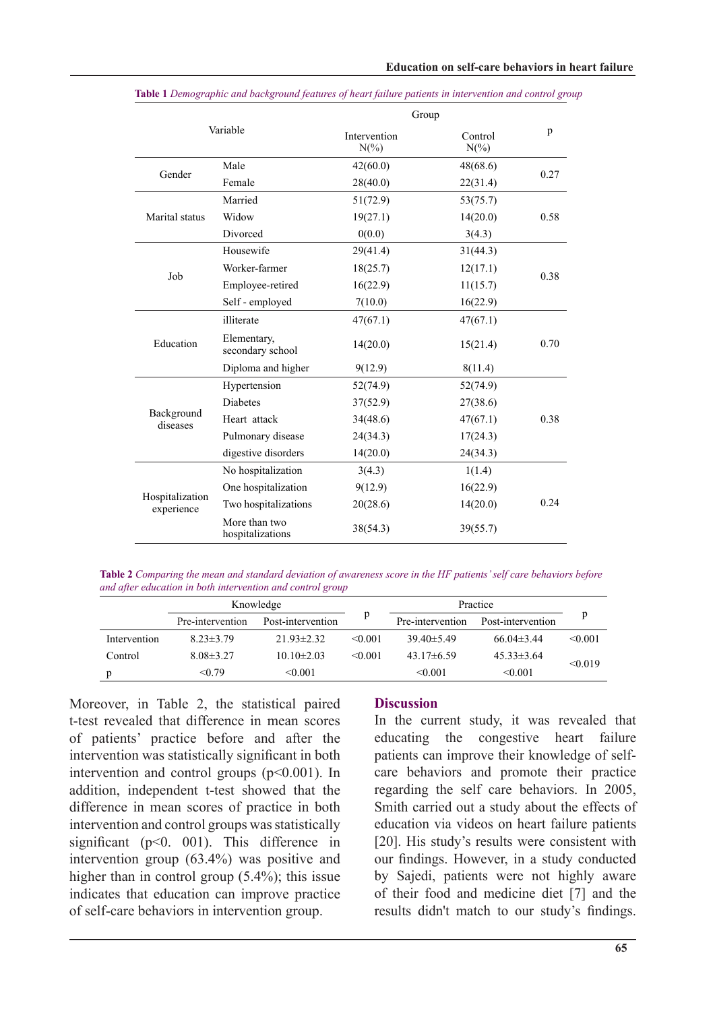| Variable                      |                                   | Group                   |                    |      |  |
|-------------------------------|-----------------------------------|-------------------------|--------------------|------|--|
|                               |                                   | Intervention<br>$N(\%)$ | Control<br>$N(\%)$ |      |  |
| Gender                        | Male                              | 42(60.0)                | 48(68.6)           | 0.27 |  |
|                               | Female                            | 28(40.0)                | 22(31.4)           |      |  |
| Marital status                | Married                           | 51(72.9)                | 53(75.7)           |      |  |
|                               | Widow                             | 19(27.1)                | 14(20.0)           | 0.58 |  |
|                               | Divorced                          | 0(0.0)                  | 3(4.3)             |      |  |
| Job                           | Housewife                         | 29(41.4)                | 31(44.3)           |      |  |
|                               | Worker-farmer                     | 18(25.7)                | 12(17.1)           | 0.38 |  |
|                               | Employee-retired                  | 16(22.9)                | 11(15.7)           |      |  |
|                               | Self - employed                   | 7(10.0)                 | 16(22.9)           |      |  |
| Education                     | illiterate                        | 47(67.1)                | 47(67.1)           |      |  |
|                               | Elementary,<br>secondary school   | 14(20.0)                | 15(21.4)           | 0.70 |  |
|                               | Diploma and higher                | 9(12.9)                 | 8(11.4)            |      |  |
| Background<br>diseases        | Hypertension                      | 52(74.9)                | 52(74.9)           |      |  |
|                               | <b>Diabetes</b>                   | 37(52.9)                | 27(38.6)           |      |  |
|                               | Heart attack                      | 34(48.6)                | 47(67.1)           | 0.38 |  |
|                               | Pulmonary disease                 | 24(34.3)                | 17(24.3)           |      |  |
|                               | digestive disorders               | 14(20.0)                | 24(34.3)           |      |  |
| Hospitalization<br>experience | No hospitalization                | 3(4.3)                  | 1(1.4)             |      |  |
|                               | One hospitalization               | 9(12.9)                 | 16(22.9)           |      |  |
|                               | Two hospitalizations              | 20(28.6)                | 14(20.0)           | 0.24 |  |
|                               | More than two<br>hospitalizations | 38(54.3)                | 39(55.7)           |      |  |

*grable 1 Demographic and background features of heart failure patients in intervention and control group* 

Table 2 Comparing the mean and standard deviation of awareness score in the HF patients' self care behaviors before *and after education in both intervention and control group* 

|              | Knowledge        |                   |              | Practice         |                   |         |
|--------------|------------------|-------------------|--------------|------------------|-------------------|---------|
|              | Pre-intervention | Post-intervention | р            | Pre-intervention | Post-intervention | p       |
| Intervention | $8.23 \pm 3.79$  | $21.93 \pm 2.32$  | $\leq 0.001$ | $39.40\pm5.49$   | $66.04\pm3.44$    | < 0.001 |
| Control      | $8.08\pm3.27$    | $10.10\pm2.03$    | $\leq 0.001$ | $43.17\pm 6.59$  | $45.33\pm3.64$    | < 0.019 |
| p            | < 0.79           | $\leq 0.001$      |              | $\leq 0.001$     | < 0.001           |         |

Moreover, in Table 2, the statistical paired t-test revealed that difference in mean scores of patients' practice before and after the intervention was statistically significant in both intervention and control groups  $(p<0.001)$ . In addition, independent t-test showed that the difference in mean scores of practice in both intervention and control groups was statistically significant ( $p<0$ . 001). This difference in intervention group  $(63.4\%)$  was positive and higher than in control group  $(5.4\%)$ ; this issue indicates that education can improve practice of self-care behaviors in intervention group.

### **Discussion**

In the current study, it was revealed that educating the congestive heart failure care behaviors and promote their practice patients can improve their knowledge of selfregarding the self care behaviors. In 2005, Smith carried out a study about the effects of education via videos on heart failure patients [20]. His study's results were consistent with our findings. However, in a study conducted by Sajedi, patients were not highly aware of their food and medicine diet  $[7]$  and the results didn't match to our study's findings.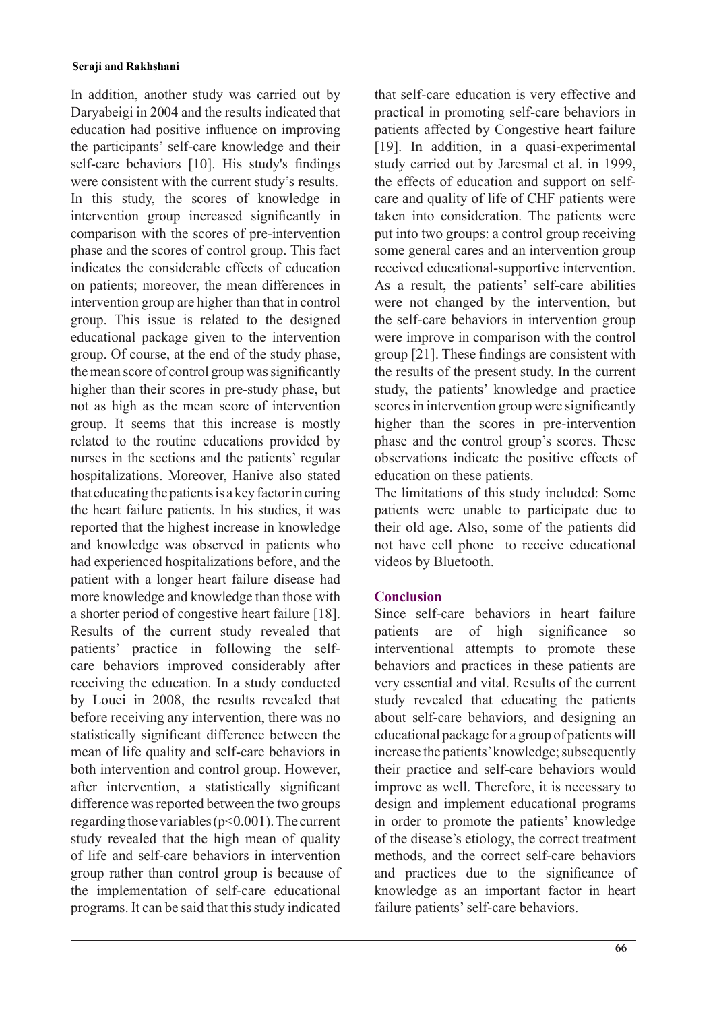In addition, another study was carried out by Daryabeigi in 2004 and the results indicated that education had positive influence on improving the participants' self-care knowledge and their self-care behaviors [10]. His study's findings were consistent with the current study's results. In this study, the scores of knowledge in intervention group increased significantly in comparison with the scores of pre-intervention phase and the scores of control group. This fact indicates the considerable effects of education on patients: moreover, the mean differences in intervention group are higher than that in control group. This issue is related to the designed educational package given to the intervention group. Of course, at the end of the study phase, the mean score of control group was significantly higher than their scores in pre-study phase, but not as high as the mean score of intervention group. It seems that this increase is mostly related to the routine educations provided by nurses in the sections and the patients' regular hospitalizations. Moreover, Hanive also stated that educating the patients is a key factor in curing the heart failure patients. In his studies, it was reported that the highest increase in knowledge and knowledge was observed in patients who had experienced hospitalizations before, and the patient with a longer heart failure disease had more knowledge and knowledge than those with a shorter period of congestive heart failure [18]. Results of the current study revealed that care behaviors improved considerably after patients' practice in following the selfreceiving the education. In a study conducted by Louei in 2008, the results revealed that before receiving any intervention, there was no statistically significant difference between the mean of life quality and self-care behaviors in both intervention and control group. However, after intervention, a statistically significant difference was reported between the two groups regarding those variables  $(p< 0.001)$ . The current study revealed that the high mean of quality of life and self-care behaviors in intervention group rather than control group is because of the implementation of self-care educational programs. It can be said that this study indicated that self-care education is very effective and practical in promoting self-care behaviors in patients affected by Congestive heart failure [19]. In addition, in a quasi-experimental study carried out by Jaresmal et al. in 1999, care and quality of life of CHF patients were the effects of education and support on selftaken into consideration. The patients were put into two groups: a control group receiving some general cares and an intervention group received educational-supportive intervention. As a result, the patients' self-care abilities were not changed by the intervention, but the self-care behaviors in intervention group were improve in comparison with the control group  $[21]$ . These findings are consistent with the results of the present study. In the current study, the patients' knowledge and practice scores in intervention group were significantly higher than the scores in pre-intervention phase and the control group's scores. These observations indicate the positive effects of education on these patients.

The limitations of this study included: Some patients were unable to participate due to their old age. Also, some of the patients did not have cell phone to receive educational videos by Bluetooth.

# **Conclusion**

Since self-care behaviors in heart failure patients are of high significance so interventional attempts to promote these behaviors and practices in these patients are very essential and vital. Results of the current study revealed that educating the patients about self-care behaviors, and designing an educational package for a group of patients will increase the patients' knowledge; subsequently their practice and self-care behaviors would improve as well. Therefore, it is necessary to design and implement educational programs in order to promote the patients' knowledge of the disease's etiology, the correct treatment methods, and the correct self-care behaviors and practices due to the significance of knowledge as an important factor in heart failure patients' self-care behaviors.